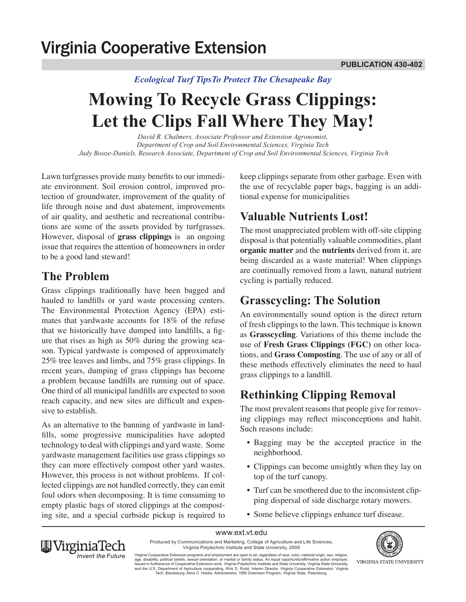# **Virginia Cooperative Extension**

#### *Ecological Turf TipsTo Protect The Chesapeake Bay*

# **Mowing To Recycle Grass Clippings: Let the Clips Fall Where They May!**

*David R. Chalmers, Associate Professor and Extension Agronomist, Department of Crop and Soil Environmental Sciences, Virginia Tech Judy Booze-Daniels, Research Associate, Department of Crop and Soil Environmental Sciences, Virginia Tech*

Lawn turfgrasses provide many benefits to our immediate environment. Soil erosion control, improved protection of groundwater, improvement of the quality of life through noise and dust abatement, improvements of air quality, and aesthetic and recreational contributions are some of the assets provided by turfgrasses. However, disposal of **grass clippings** is an ongoing issue that requires the attention of homeowners in order to be a good land steward!

#### **The Problem**

Grass clippings traditionally have been bagged and hauled to landfills or yard waste processing centers. The Environmental Protection Agency (EPA) estimates that yardwaste accounts for 18% of the refuse that we historically have dumped into landfills, a figure that rises as high as 50% during the growing season. Typical yardwaste is composed of approximately 25% tree leaves and limbs, and 75% grass clippings. In recent years, dumping of grass clippings has become a problem because landfills are running out of space. One third of all municipal landfills are expected to soon reach capacity, and new sites are difficult and expensive to establish.

As an alternative to the banning of yardwaste in landfills, some progressive municipalities have adopted technology to deal with clippings and yard waste. Some yardwaste management facilities use grass clippings so they can more effectively compost other yard wastes. However, this process is not without problems. If collected clippings are not handled correctly, they can emit foul odors when decomposing. It is time consuming to empty plastic bags of stored clippings at the composting site, and a special curbside pickup is required to keep clippings separate from other garbage. Even with the use of recyclable paper bags, bagging is an additional expense for municipalities

# **Valuable Nutrients Lost!**

The most unappreciated problem with off-site clipping disposal is that potentially valuable commodities, plant **organic matter** and the **nutrients** derived from it, are being discarded as a waste material! When clippings are continually removed from a lawn, natural nutrient cycling is partially reduced.

# **Grasscycling: The Solution**

An environmentally sound option is the direct return of fresh clippings to the lawn. This technique is known as **Grasscycling**. Variations of this theme include the use of **Fresh Grass Clippings (FGC)** on other locations, and **Grass Composting**. The use of any or all of these methods effectively eliminates the need to haul grass clippings to a landfill.

# **Rethinking Clipping Removal**

The most prevalent reasons that people give for removing clippings may reflect misconceptions and habit. Such reasons include:

- Bagging may be the accepted practice in the neighborhood.
- Clippings can become unsightly when they lay on top of the turf canopy.
- Turf can be smothered due to the inconsistent clipping dispersal of side discharge rotary mowers.
- Some believe clippings enhance turf disease.





Virginia Polytechnic Institute and State University, 2009 Virginia Cooperative Extension programs and employment are open to all, regardless of race, color, national origin, sex, religion,<br>age, disability, political beliefs, sexual orientation, or marital or family status. An equ VIRGINIA STATE UNIVERSITY

and the U.S. Department of Agriculture cooperating. RIck D. Rudd, Interim Director, Virginia Cooperative Extension, Virginia<br>Tech, Blacksburg; Alma C. Hobbs, Administrator, 1890 Extension Program, Virginia State, Petersbur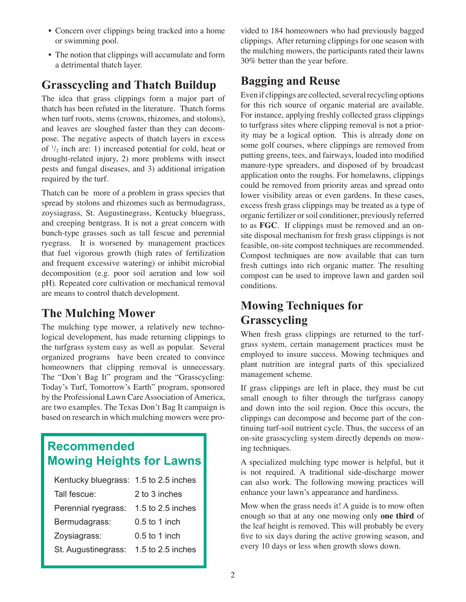- Concern over clippings being tracked into a home or swimming pool.
- The notion that clippings will accumulate and form a detrimental thatch layer.

# **Grasscycling and Thatch Buildup**

The idea that grass clippings form a major part of thatch has been refuted in the literature. Thatch forms when turf roots, stems (crowns, rhizomes, and stolons). and leaves are sloughed faster than they can decompose. The negative aspects of thatch layers in excess of  $\frac{1}{2}$  inch are: 1) increased potential for cold, heat or drought-related injury, 2) more problems with insect pests and fungal diseases, and 3) additional irrigation required by the turf.

Thatch can be more of a problem in grass species that spread by stolons and rhizomes such as bermudagrass, zoysiagrass, St. Augustinegrass, Kentucky bluegrass, and creeping bentgrass. It is not a great concern with bunch-type grasses such as tall fescue and perennial ryegrass. It is worsened by management practices that fuel vigorous growth (high rates of fertilization and frequent excessive watering) or inhibit microbial decomposition (e.g. poor soil aeration and low soil pH). Repeated core cultivation or mechanical removal are means to control thatch development.

#### **The Mulching Mower**

The mulching type mower, a relatively new technological development, has made returning clippings to the turfgrass system easy as well as popular. Several organized programs have been created to convince homeowners that clipping removal is unnecessary. The "Don't Bag It" program and the "Grasscycling: Today's Turf, Tomorrow's Earth" program, sponsored by the Professional Lawn Care Association of America, are two examples. The Texas Don't Bag It campaign is based on research in which mulching mowers were pro-

# **Recommended Mowing Heights for Lawns**

| Kentucky bluegrass: 1.5 to 2.5 inches |                   |
|---------------------------------------|-------------------|
| Tall fescue:                          | 2 to 3 inches     |
| Perennial ryegrass:                   | 1.5 to 2.5 inches |
| Bermudagrass:                         | $0.5$ to 1 inch   |
| Zoysiagrass:                          | $0.5$ to 1 inch   |
| St. Augustinegrass:                   | 1.5 to 2.5 inches |

vided to 184 homeowners who had previously bagged clippings. After returning clippings for one season with the mulching mowers, the participants rated their lawns 30% better than the year before.

# **Bagging and Reuse**

Even if clippings are collected, several recycling options for this rich source of organic material are available. For instance, applying freshly collected grass clippings to turfgrass sites where clipping removal is not a priority may be a logical option. This is already done on some golf courses, where clippings are removed from putting greens, tees, and fairways, loaded into modified manure-type spreaders, and disposed of by broadcast application onto the roughs. For homelawns, clippings could be removed from priority areas and spread onto lower visibility areas or even gardens. In these cases, excess fresh grass clippings may be treated as a type of organic fertilizer or soil conditioner, previously referred to as **FGC**. If clippings must be removed and an onsite disposal mechanism for fresh grass clippings is not feasible, on-site compost techniques are recommended. Compost techniques are now available that can turn fresh cuttings into rich organic matter. The resulting compost can be used to improve lawn and garden soil conditions.

# **Mowing Techniques for Grasscycling**

When fresh grass clippings are returned to the turfgrass system, certain management practices must be employed to insure success. Mowing techniques and plant nutrition are integral parts of this specialized management scheme.

If grass clippings are left in place, they must be cut small enough to filter through the turfgrass canopy and down into the soil region. Once this occurs, the clippings can decompose and become part of the continuing turf-soil nutrient cycle. Thus, the success of an on-site grasscycling system directly depends on mowing techniques.

A specialized mulching type mower is helpful, but it is not required. A traditional side-discharge mower can also work. The following mowing practices will enhance your lawn's appearance and hardiness.

Mow when the grass needs it! A guide is to mow often enough so that at any one mowing only **one third** of the leaf height is removed. This will probably be every five to six days during the active growing season, and every 10 days or less when growth slows down.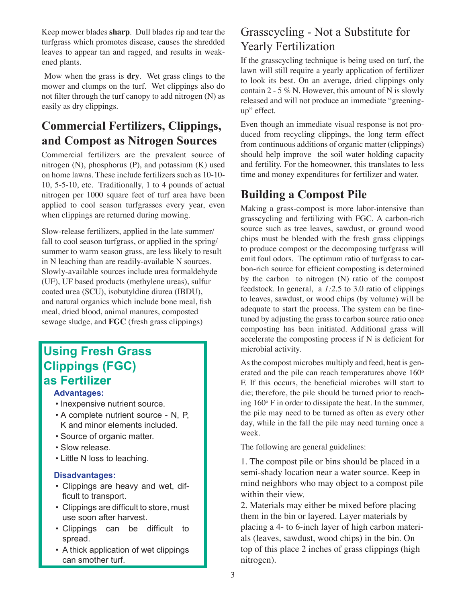Keep mower blades **sharp**. Dull blades rip and tear the turfgrass which promotes disease, causes the shredded leaves to appear tan and ragged, and results in weakened plants.

 Mow when the grass is **dry**. Wet grass clings to the mower and clumps on the turf. Wet clippings also do not filter through the turf canopy to add nitrogen (N) as easily as dry clippings.

# **Commercial Fertilizers, Clippings, and Compost as Nitrogen Sources**

Commercial fertilizers are the prevalent source of nitrogen (N), phosphorus (P), and potassium (K) used on home lawns. These include fertilizers such as 10-10- 10, 5-5-10, etc. Traditionally, 1 to 4 pounds of actual nitrogen per 1000 square feet of turf area have been applied to cool season turfgrasses every year, even when clippings are returned during mowing.

Slow-release fertilizers, applied in the late summer/ fall to cool season turfgrass, or applied in the spring/ summer to warm season grass, are less likely to result in N leaching than are readily-available N sources. Slowly-available sources include urea formaldehyde (UF), UF based products (methylene ureas), sulfur coated urea (SCU), isobutyldine diurea (IBDU), and natural organics which include bone meal, fish meal, dried blood, animal manures, composted sewage sludge, and **FGC** (fresh grass clippings)

#### **Using Fresh Grass Clippings (FGC) as Fertilizer**

#### **Advantages:**

- Inexpensive nutrient source.
- A complete nutrient source N, P, K and minor elements included.
- • Source of organic matter.
- • Slow release.
- • Little N loss to leaching.

#### **Disadvantages:**

- • Clippings are heavy and wet, difficult to transport.
- Clippings are difficult to store, must use soon after harvest.
- • Clippings can be difficult to spread.
- A thick application of wet clippings can smother turf.

#### Grasscycling - Not a Substitute for Yearly Fertilization

If the grasscycling technique is being used on turf, the lawn will still require a yearly application of fertilizer to look its best. On an average, dried clippings only contain 2 - 5 % N. However, this amount of N is slowly released and will not produce an immediate "greeningup" effect.

Even though an immediate visual response is not produced from recycling clippings, the long term effect from continuous additions of organic matter (clippings) should help improve the soil water holding capacity and fertility. For the homeowner, this translates to less time and money expenditures for fertilizer and water.

### **Building a Compost Pile**

Making a grass-compost is more labor-intensive than grasscycling and fertilizing with FGC. A carbon-rich source such as tree leaves, sawdust, or ground wood chips must be blended with the fresh grass clippings to produce compost or the decomposing turfgrass will emit foul odors. The optimum ratio of turfgrass to carbon-rich source for efficient composting is determined by the carbon to nitrogen (N) ratio of the compost feedstock. In general, a *1:2*.5 to 3.0 ratio of clippings to leaves, sawdust, or wood chips (by volume) will be adequate to start the process. The system can be finetuned by adjusting the grass to carbon source ratio once composting has been initiated. Additional grass will accelerate the composting process if N is deficient for microbial activity.

As the compost microbes multiply and feed, heat is generated and the pile can reach temperatures above  $160^{\circ}$ F. If this occurs, the beneficial microbes will start to die; therefore, the pile should be turned prior to reaching  $160^\circ$  F in order to dissipate the heat. In the summer, the pile may need to be turned as often as every other day, while in the fall the pile may need turning once a week.

The following are general guidelines:

1. The compost pile or bins should be placed in a semi-shady location near a water source. Keep in mind neighbors who may object to a compost pile within their view.

2. Materials may either be mixed before placing them in the bin or layered. Layer materials by placing a 4- to 6-inch layer of high carbon materials (leaves, sawdust, wood chips) in the bin. On top of this place 2 inches of grass clippings (high nitrogen).